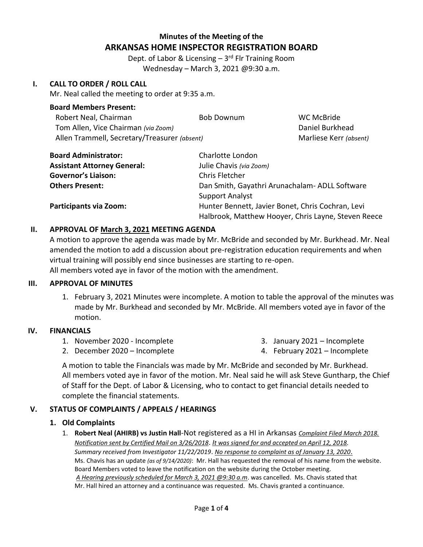# **Minutes of the Meeting of the ARKANSAS HOME INSPECTOR REGISTRATION BOARD**

Dept. of Labor & Licensing - 3<sup>rd</sup> Flr Training Room Wednesday – March 3, 2021 @9:30 a.m.

#### **I. CALL TO ORDER / ROLL CALL**

Mr. Neal called the meeting to order at 9:35 a.m.

#### **Board Members Present:**

| Robert Neal, Chairman                        | <b>Bob Downum</b> | WC McBride             |
|----------------------------------------------|-------------------|------------------------|
| Tom Allen, Vice Chairman (via Zoom)          |                   | Daniel Burkhead        |
| Allen Trammell, Secretary/Treasurer (absent) |                   | Marliese Kerr (absent) |

| <b>Board Administrator:</b>        | Charlotte London                                    |
|------------------------------------|-----------------------------------------------------|
| <b>Assistant Attorney General:</b> | Julie Chavis (via Zoom)                             |
| <b>Governor's Liaison:</b>         | Chris Fletcher                                      |
| <b>Others Present:</b>             | Dan Smith, Gayathri Arunachalam- ADLL Software      |
|                                    | <b>Support Analyst</b>                              |
| <b>Participants via Zoom:</b>      | Hunter Bennett, Javier Bonet, Chris Cochran, Levi   |
|                                    | Halbrook, Matthew Hooyer, Chris Layne, Steven Reece |

#### **II. APPROVAL OF March 3, 2021 MEETING AGENDA**

A motion to approve the agenda was made by Mr. McBride and seconded by Mr. Burkhead. Mr. Neal amended the motion to add a discussion about pre-registration education requirements and when virtual training will possibly end since businesses are starting to re-open. All members voted aye in favor of the motion with the amendment.

#### **III. APPROVAL OF MINUTES**

1. February 3, 2021 Minutes were incomplete. A motion to table the approval of the minutes was made by Mr. Burkhead and seconded by Mr. McBride. All members voted aye in favor of the motion.

#### **IV. FINANCIALS**

- 1. November 2020 Incomplete
- 2. December 2020 Incomplete
- 3. January 2021 Incomplete
- 4. February 2021 Incomplete

A motion to table the Financials was made by Mr. McBride and seconded by Mr. Burkhead. All members voted aye in favor of the motion. Mr. Neal said he will ask Steve Guntharp, the Chief of Staff for the Dept. of Labor & Licensing, who to contact to get financial details needed to complete the financial statements.

### **V. STATUS OF COMPLAINTS / APPEALS / HEARINGS**

### **1. Old Complaints**

1. **Robert Neal (AHIRB) vs Justin Hall**-Not registered as a HI in Arkansas *Complaint Filed March 2018. Notification sent by Certified Mail on 3/26/2018*. *It was signed for and accepted on April 12, 2018. Summary received from Investigator 11/22/2019*. *No response to complaint as of January 13, 2020*. Ms. Chavis has an update *(as of 9/14/2020)*: Mr. Hall has requested the removal of his name from the website. Board Members voted to leave the notification on the website during the October meeting. *A Hearing previously scheduled for March 3, 2021 @9:30 a.m*. was cancelled. Ms. Chavis stated that Mr. Hall hired an attorney and a continuance was requested. Ms. Chavis granted a continuance.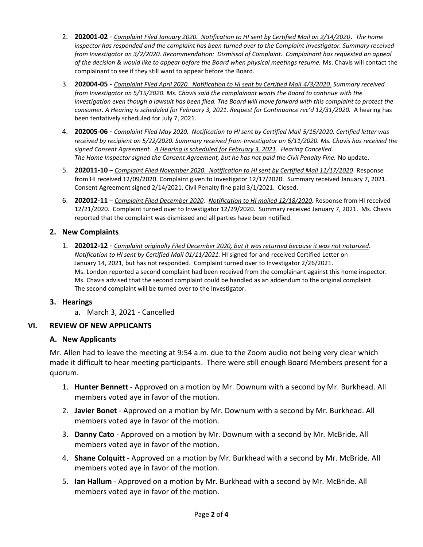- 2. **202001-02** *Complaint Filed January 2020. Notification to HI sent by Certified Mail on 2/14/2020*. *The home inspector has responded and the complaint has been turned over to the Complaint Investigator. Summary received from Investigator on 3/2/2020. Recommendation: Dismissal of Complaint. Complainant has requested an appeal of the decision & would like to appear before the Board when physical meetings resume.* Ms. Chavis will contact the complainant to see if they still want to appear before the Board.
- 3. **202004-05** *Complaint Filed April 2020. Notification to HI sent by Certified Mail 4/3/2020. Summary received from Investigator on 5/15/2020. Ms. Chavis said the complainant wants the Board to continue with the investigation even though a lawsuit has been filed. The Board will move forward with this complaint to protect the consumer. A Hearing is scheduled for February 3, 2021. Request for Continuance rec'd 12/31/2020.* A hearing has been tentatively scheduled for July 7, 2021.
- 4. **202005-06** *Complaint Filed May 2020. Notification to HI sent by Certified Mail 5/15/2020. Certified letter was received by recipient on 5/22/2020. Summary received from Investigator on 6/11/2020. Ms. Chavis has received the signed Consent Agreement. A Hearing is scheduled for February 3, 2021. Hearing Cancelled. The Home Inspector signed the Consent Agreement, but he has not paid the Civil Penalty Fine.* No update.
- 5. **202011-10** *Complaint Filed November 2020. Notification to HI sent by Certified Mail 11/17/2020*. Response from HI received 12/09/2020. Complaint given to Investigator 12/17/2020. Summary received January 7, 2021. Consent Agreement signed 2/14/2021, Civil Penalty fine paid 3/1/2021. Closed.
- 6. **202012-11** *Complaint Filed December 2020. Notification to HI mailed 12/18/2020.* Response from HI received 12/21/2020. Complaint turned over to Investigator 12/29/2020. Summary received January 7, 2021. Ms. Chavis reported that the complaint was dismissed and all parties have been notified.

### **2. New Complaints**

1. **202012-12** - *Complaint originally Filed December 2020, but it was returned because it was not notarized. Notification to HI sent by Certified Mail 01/11/2021.* HI signed for and received Certified Letter on January 14, 2021, but has not responded. Complaint turned over to Investigator 2/26/2021. Ms. London reported a second complaint had been received from the complainant against this home inspector. Ms. Chavis advised that the second complaint could be handled as an addendum to the original complaint. The second complaint will be turned over to the Investigator.

### **3. Hearings**

a. March 3, 2021 - Cancelled

## **VI. REVIEW OF NEW APPLICANTS /**

### **A. New Applicants**

Mr. Allen had to leave the meeting at 9:54 a.m. due to the Zoom audio not being very clear which made it difficult to hear meeting participants. There were still enough Board Members present for a quorum.

- 1. **Hunter Bennett** Approved on a motion by Mr. Downum with a second by Mr. Burkhead. All members voted aye in favor of the motion.
- 2. **Javier Bonet** Approved on a motion by Mr. Downum with a second by Mr. Burkhead. All members voted aye in favor of the motion.
- 3. **Danny Cato** Approved on a motion by Mr. Downum with a second by Mr. McBride. All members voted aye in favor of the motion.
- 4. **Shane Colquitt** Approved on a motion by Mr. Burkhead with a second by Mr. McBride. All members voted aye in favor of the motion.
- 5. **Ian Hallum** Approved on a motion by Mr. Burkhead with a second by Mr. McBride. All members voted aye in favor of the motion.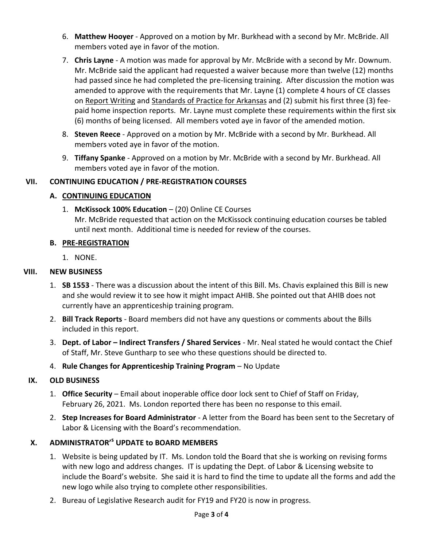- 6. **Matthew Hooyer** Approved on a motion by Mr. Burkhead with a second by Mr. McBride. All members voted aye in favor of the motion.
- 7. **Chris Layne** A motion was made for approval by Mr. McBride with a second by Mr. Downum. Mr. McBride said the applicant had requested a waiver because more than twelve (12) months had passed since he had completed the pre-licensing training. After discussion the motion was amended to approve with the requirements that Mr. Layne (1) complete 4 hours of CE classes on Report Writing and Standards of Practice for Arkansas and (2) submit his first three (3) feepaid home inspection reports. Mr. Layne must complete these requirements within the first six (6) months of being licensed. All members voted aye in favor of the amended motion.
- 8. **Steven Reece** Approved on a motion by Mr. McBride with a second by Mr. Burkhead. All members voted aye in favor of the motion.
- 9. **Tiffany Spanke** Approved on a motion by Mr. McBride with a second by Mr. Burkhead. All members voted aye in favor of the motion.

### **VII. CONTINUING EDUCATION / PRE-REGISTRATION COURSES**

### **A. CONTINUING EDUCATION**

1. **McKissock 100% Education** – (20) Online CE Courses Mr. McBride requested that action on the McKissock continuing education courses be tabled until next month. Additional time is needed for review of the courses.

### **B. PRE-REGISTRATION**

1. NONE.

### **VIII. NEW BUSINESS**

- 1. **SB 1553** There was a discussion about the intent of this Bill. Ms. Chavis explained this Bill is new and she would review it to see how it might impact AHIB. She pointed out that AHIB does not currently have an apprenticeship training program.
- 2. **Bill Track Reports** Board members did not have any questions or comments about the Bills included in this report.
- 3. **Dept. of Labor – Indirect Transfers / Shared Services** Mr. Neal stated he would contact the Chief of Staff, Mr. Steve Guntharp to see who these questions should be directed to.
- 4. **Rule Changes for Apprenticeship Training Program** No Update

## **IX. OLD BUSINESS**

- 1. **Office Security** Email about inoperable office door lock sent to Chief of Staff on Friday, February 26, 2021. Ms. London reported there has been no response to this email.
- 2. **Step Increases for Board Administrator** A letter from the Board has been sent to the Secretary of Labor & Licensing with the Board's recommendation.

## **X. ADMINISTRATOR'<sup>s</sup> UPDATE to BOARD MEMBERS**

- 1. Website is being updated by IT. Ms. London told the Board that she is working on revising forms with new logo and address changes. IT is updating the Dept. of Labor & Licensing website to include the Board's website. She said it is hard to find the time to update all the forms and add the new logo while also trying to complete other responsibilities.
- 2. Bureau of Legislative Research audit for FY19 and FY20 is now in progress.